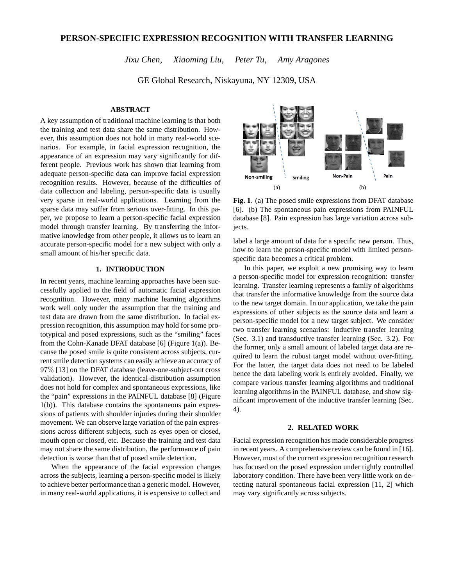# **PERSON-SPECIFIC EXPRESSION RECOGNITION WITH TRANSFER LEARNING**

*Jixu Chen, Xiaoming Liu, Peter Tu, Amy Aragones*

GE Global Research, Niskayuna, NY 12309, USA

# **ABSTRACT**

A key assumption of traditional machine learning is that both the training and test data share the same distribution. However, this assumption does not hold in many real-world scenarios. For example, in facial expression recognition, the appearance of an expression may vary significantly for different people. Previous work has shown that learning from adequate person-specific data can improve facial expression recognition results. However, because of the difficulties of data collection and labeling, person-specific data is usually very sparse in real-world applications. Learning from the sparse data may suffer from serious over-fitting. In this paper, we propose to learn a person-specific facial expression model through transfer learning. By transferring the informative knowledge from other people, it allows us to learn an accurate person-specific model for a new subject with only a small amount of his/her specific data.

# **1. INTRODUCTION**

In recent years, machine learning approaches have been successfully applied to the field of automatic facial expression recognition. However, many machine learning algorithms work well only under the assumption that the training and test data are drawn from the same distribution. In facial expression recognition, this assumption may hold for some prototypical and posed expressions, such as the "smiling" faces from the Cohn-Kanade DFAT database [6] (Figure 1(a)). Because the posed smile is quite consistent across subjects, current smile detection systems can easily achieve an accuracy of 97% [13] on the DFAT database (leave-one-subject-out cross validation). However, the identical-distribution assumption does not hold for complex and spontaneous expressions, like the "pain" expressions in the PAINFUL database [8] (Figure 1(b)). This database contains the spontaneous pain expressions of patients with shoulder injuries during their shoulder movement. We can observe large variation of the pain expressions across different subjects, such as eyes open or closed, mouth open or closed, etc. Because the training and test data may not share the same distribution, the performance of pain detection is worse than that of posed smile detection.

When the appearance of the facial expression changes across the subjects, learning a person-specific model is likely to achieve better performance than a generic model. However, in many real-world applications, it is expensive to collect and



**Fig. 1**. (a) The posed smile expressions from DFAT database [6]. (b) The spontaneous pain expressions from PAINFUL database [8]. Pain expression has large variation across subjects.

label a large amount of data for a specific new person. Thus, how to learn the person-specific model with limited personspecific data becomes a critical problem.

In this paper, we exploit a new promising way to learn a person-specific model for expression recognition: transfer learning. Transfer learning represents a family of algorithms that transfer the informative knowledge from the source data to the new target domain. In our application, we take the pain expressions of other subjects as the source data and learn a person-specific model for a new target subject. We consider two transfer learning scenarios: inductive transfer learning (Sec. 3.1) and transductive transfer learning (Sec. 3.2). For the former, only a small amount of labeled target data are required to learn the robust target model without over-fitting. For the latter, the target data does not need to be labeled hence the data labeling work is entirely avoided. Finally, we compare various transfer learning algorithms and traditional learning algorithms in the PAINFUL database, and show significant improvement of the inductive transfer learning (Sec. 4).

### **2. RELATED WORK**

Facial expression recognition has made considerable progress in recent years. A comprehensive review can be found in [16]. However, most of the current expression recognition research has focused on the posed expression under tightly controlled laboratory condition. There have been very little work on detecting natural spontaneous facial expression [11, 2] which may vary significantly across subjects.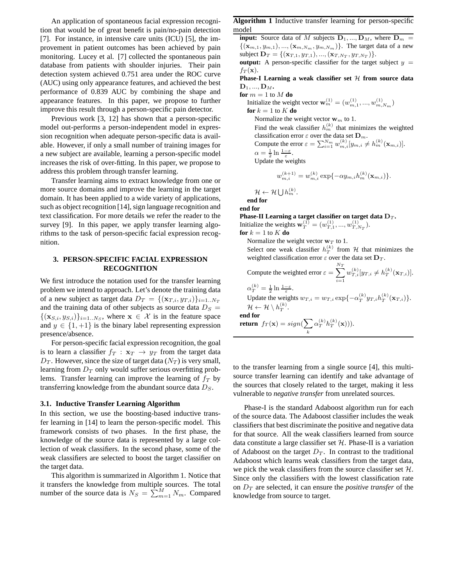An application of spontaneous facial expression recognition that would be of great benefit is pain/no-pain detection [7]. For instance, in intensive care units (ICU) [5], the improvement in patient outcomes has been achieved by pain monitoring. Lucey et al. [7] collected the spontaneous pain database from patients with shoulder injuries. Their pain detection system achieved 0.751 area under the ROC curve (AUC) using only appearance features, and achieved the best performance of 0.839 AUC by combining the shape and appearance features. In this paper, we propose to further improve this result through a person-specific pain detector.

Previous work [3, 12] has shown that a person-specific model out-performs a person-independent model in expression recognition when adequate person-specific data is available. However, if only a small number of training images for a new subject are available, learning a person-specific model increases the risk of over-fitting. In this paper, we propose to address this problem through transfer learning.

Transfer learning aims to extract knowledge from one or more source domains and improve the learning in the target domain. It has been applied to a wide variety of applications, such as object recognition [14], sign language recognition and text classification. For more details we refer the reader to the survey [9]. In this paper, we apply transfer learning algorithms to the task of person-specific facial expression recognition.

# **3. PERSON-SPECIFIC FACIAL EXPRESSION RECOGNITION**

We first introduce the notation used for the transfer learning problem we intend to approach. Let's denote the training data of a new subject as target data  $D_T = \{(\mathbf{x}_{T,i}, y_{T,i})\}_{i=1..N_T}$ and the training data of other subjects as source data  $D<sub>S</sub>$  =  ${(\mathbf{x}_{S,i}, y_{S,i})\}_{i=1..N_S}$ , where  $\mathbf{x} \in \mathcal{X}$  is in the feature space and  $y \in \{1, +1\}$  is the binary label representing expression presence/absence.

For person-specific facial expression recognition, the goal is to learn a classifier  $f_T : \mathbf{x}_T \to y_T$  from the target data  $D_T$ . However, since the size of target data  $(N_T)$  is very small, learning from  $D<sub>T</sub>$  only would suffer serious overfitting problems. Transfer learning can improve the learning of  $f<sub>T</sub>$  by transferring knowledge from the abundant source data  $D<sub>S</sub>$ .

#### **3.1. Inductive Transfer Learning Algorithm**

In this section, we use the boosting-based inductive transfer learning in [14] to learn the person-specific model. This framework consists of two phases. In the first phase, the knowledge of the source data is represented by a large collection of weak classifiers. In the second phase, some of the weak classifiers are selected to boost the target classifier on the target data.

This algorithm is summarized in Algorithm 1. Notice that it transfers the knowledge from multiple sources. The total number of the source data is  $N_S = \sum_{m=1}^{N} N_m$ . Compared

**Algorithm 1** Inductive transfer learning for person-specific model

**input:** Source data of M subjects  $D_1, ..., D_M$ , where  $D_m$  =  $\{({\bf x}_{m,1}, y_{m,1}),...,({\bf x}_{m,N_m}, y_{m,N_m})\}$ . The target data of a new subject  $\mathbf{D}_T = \{(\mathbf{x}_{T,1}, y_{T,1}), ..., (\mathbf{x}_{T,N_T}, y_{T,N_T})\}.$ **output:** A person-specific classifier for the target subject  $y =$  $f_T(\mathbf{x})$ . **Phase-I Learning a weak classifier set**  $H$  from source data  $\mathbf{D}_1, ..., \mathbf{D}_M$ . **for**  $m = 1$  to  $M$  **do** Initialize the weight vector  $\mathbf{w}_m^{(1)} = (w_{m,1}^{(1)}, ..., w_{m,N_m}^{(1)})$ **for**  $k = 1$  to  $K$  **do** Normalize the weight vector  $w_m$  to 1. Find the weak classifier  $h_m^{(k)}$  that minimizes the weighted classification error  $\varepsilon$  over the data set  $\mathbf{D}_m$ . Compute the error  $\varepsilon = \sum_{i=1}^{N_m} w_{m,i}^{(k)} [y_{m,i} \neq h_m^{(k)}(\mathbf{x}_{m,i})].$  $\alpha = \frac{1}{2} \ln \frac{1-\varepsilon}{\varepsilon}.$ 

Update the weights

$$
w_{m,i}^{(k+1)} = w_{m,i}^{(k)} \exp{\{-\alpha y_{m,i} h_m^{(k)}(\mathbf{x}_{m,i})\}}.
$$

 $\mathcal{H} \leftarrow \mathcal{H} \bigcup h_m^{(k)}.$ 

**end for end for**

Phase-II Learning a target classifier on target data  $D_T$ . Initialize the weights  $\mathbf{w}_T^{(1)} = (w_{T,1}^{(1)}, ..., w_{T,N_T}^{(1)}).$ 

**for**  $k = 1$  to  $K$  **do** 

Normalize the weight vector  $w_T$  to 1.

Select one weak classifier  $h_T^{(k)}$  from H that minimizes the weighted classification error  $\varepsilon$  over the data set  $\mathbf{D}_T$ .

Compute the weighted error  $\varepsilon = \sum_{n=1}^{N_T}$  $i=1$  $w_{T,i}^{(k)}[y_{T,i}\neq h_T^{(k)}(\mathbf{x}_{T,i})].$  $\alpha_T^{(k)} = \frac{1}{2} \ln \frac{1-\varepsilon}{\varepsilon}.$ Update the weights  $w_{T,i} = w_{T,i} \exp{\{-\alpha_T^{(k)} y_{T,i} h_T^{(k)}(\mathbf{x}_{T,i})\}}$ .

 $\mathcal{H} \leftarrow \mathcal{H} \setminus h_T^{(k)}.$ 

 $\alpha_T^{(k)}h_T^{(k)}(\mathbf{x}))).$ 

**end for return**  $f_T(\mathbf{x}) = sign(\sum$ 

to the transfer learning from a single source [4], this multisource transfer learning can identify and take advantage of the sources that closely related to the target, making it less vulnerable to *negative transfer* from unrelated sources.

k

Phase-I is the standard Adaboost algorithm run for each of the source data. The Adaboost classifier includes the weak classifiers that best discriminate the positive and negative data for that source. All the weak classifiers learned from source data constitute a large classifier set  $H$ . Phase-II is a variation of Adaboost on the target  $D_T$ . In contrast to the traditional Adaboost which learns weak classifiers from the target data, we pick the weak classifiers from the source classifier set  $H$ . Since only the classifiers with the lowest classification rate on  $D_T$  are selected, it can ensure the *positive transfer* of the knowledge from source to target.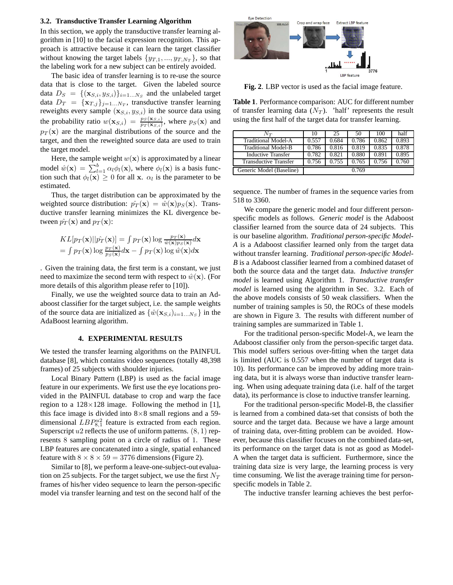### **3.2. Transductive Transfer Learning Algorithm**

In this section, we apply the transductive transfer learning algorithm in [10] to the facial expression recognition. This approach is attractive because it can learn the target classifier without knowing the target labels  $\{y_{T,1},..., y_{T,N_T}\}$ , so that the labeling work for a new subject can be entirely avoided.

The basic idea of transfer learning is to re-use the source data that is close to the target. Given the labeled source data  $D_S = \{(\mathbf{x}_{S,i}, y_{S,i})\}_{i=1...N_S}$  and the unlabeled target data  $D_T = {\mathbf{x}_{T,j}}_{j=1...N_T}$ , transductive transfer learning reweights every sample  $(\mathbf{x}_{S,i}, y_{S,i})$  in the source data using the probability ratio  $w(\mathbf{x}_{S,i}) = \frac{p_S(\mathbf{x}_{S,i})}{p_T(\mathbf{x}_{S,i})}$ , where  $p_S(\mathbf{x})$  and  $p_T(\mathbf{x})$  are the marginal distributions of the source and the target, and then the reweighted source data are used to train the target model.

Here, the sample weight  $w(x)$  is approximated by a linear model  $\hat{w}(\mathbf{x}) = \sum_{l=1}^{b} \alpha_l \phi_l(\mathbf{x})$ , where  $\phi_l(\mathbf{x})$  is a basis function such that  $\phi_l(\mathbf{x}) \geq 0$  for all x.  $\alpha_l$  is the parameter to be estimated.

Thus, the target distribution can be approximated by the weighted source distribution:  $\hat{p}_T(\mathbf{x}) = \hat{w}(\mathbf{x})p_S(\mathbf{x})$ . Transductive transfer learning minimizes the KL divergence between  $\hat{p_T}(\mathbf{x})$  and  $p_T(\mathbf{x})$ :

$$
KL[p_T(\mathbf{x})||\hat{p_T}(\mathbf{x})] = \int p_T(\mathbf{x}) \log \frac{p_T(\mathbf{x})}{\hat{w}(\mathbf{x})p_S(\mathbf{x})} d\mathbf{x}
$$

$$
= \int p_T(\mathbf{x}) \log \frac{p_T(\mathbf{x})}{p_S(\mathbf{x})} d\mathbf{x} - \int p_T(\mathbf{x}) \log \hat{w}(\mathbf{x}) d\mathbf{x}
$$

. Given the training data, the first term is a constant, we just need to maximize the second term with respect to  $\hat{w}(\mathbf{x})$ . (For more details of this algorithm please refer to [10]).

Finally, we use the weighted source data to train an Adaboost classifier for the target subject, i.e. the sample weights of the source data are initialized as  $\{\hat{w}(\mathbf{x}_{S,i})_{i=1...N_S}\}\$  in the AdaBoost learning algorithm.

#### **4. EXPERIMENTAL RESULTS**

We tested the transfer learning algorithms on the PAINFUL database [8], which contains video sequences (totally 48,398 frames) of 25 subjects with shoulder injuries.

Local Binary Pattern (LBP) is used as the facial image feature in our experiments. We first use the eye locations provided in the PAINFUL database to crop and warp the face region to a  $128\times128$  image. Following the method in [1], this face image is divided into  $8 \times 8$  small regions and a 59dimensional  $LBP_{8,1}^{u2}$  feature is extracted from each region. Superscript  $u^2$  reflects the use of uniform patterns.  $(8, 1)$  represents 8 sampling point on a circle of radius of 1. These LBP features are concatenated into a single, spatial enhanced feature with  $8 \times 8 \times 59 = 3776$  dimensions (Figure 2).

Similar to [8], we perform a leave-one-subject-out evaluation on 25 subjects. For the target subject, we use the first  $N_T$ frames of his/her video sequence to learn the person-specific model via transfer learning and test on the second half of the



**Fig. 2**. LBP vector is used as the facial image feature.

**Table 1**. Performance comparison: AUC for different number of transfer learning data  $(N_T)$ . 'half' represents the result using the first half of the target data for transfer learning.

| $N_{\bm{T}}$                 | 10    | 25    | 50    | 100   | half  |
|------------------------------|-------|-------|-------|-------|-------|
| Traditional Model-A          | 0.557 | 0.684 | 0.786 | 0.862 | 0.893 |
| <b>Traditional Model-B</b>   | 0.786 | 0.816 | 0.819 | 0.835 | 0.878 |
| Inductive Transfer           | 0.782 | 0.821 | 0.880 | 0.891 | 0.895 |
| <b>Transductive Transfer</b> | 0.756 | 0.755 | 0.765 | 0.756 | 0.760 |
| Generic Model (Baseline)     | 0.769 |       |       |       |       |

sequence. The number of frames in the sequence varies from 518 to 3360.

We compare the generic model and four different personspecific models as follows. *Generic model* is the Adaboost classifier learned from the source data of 24 subjects. This is our baseline algorithm. *Traditional person-specific Model-A* is a Adaboost classifier learned only from the target data without transfer learning. *Traditional person-specific Model-B* is a Adaboost classifier learned from a combined dataset of both the source data and the target data. *Inductive transfer model* is learned using Algorithm 1. *Transductive transfer model* is learned using the algorithm in Sec. 3.2. Each of the above models consists of 50 weak classifiers. When the number of training samples is 50, the ROCs of these models are shown in Figure 3. The results with different number of training samples are summarized in Table 1.

For the traditional person-specific Model-A, we learn the Adaboost classifier only from the person-specific target data. This model suffers serious over-fitting when the target data is limited (AUC is 0.557 when the number of target data is 10). Its performance can be improved by adding more training data, but it is always worse than inductive transfer learning. When using adequate training data (i.e. half of the target data), its performance is close to inductive transfer learning.

For the traditional person-specific Model-B, the classifier is learned from a combined data-set that consists of both the source and the target data. Because we have a large amount of training data, over-fitting problem can be avoided. However, because this classifier focuses on the combined data-set, its performance on the target data is not as good as Model-A when the target data is sufficient. Furthermore, since the training data size is very large, the learning process is very time consuming. We list the average training time for personspecific models in Table 2.

The inductive transfer learning achieves the best perfor-